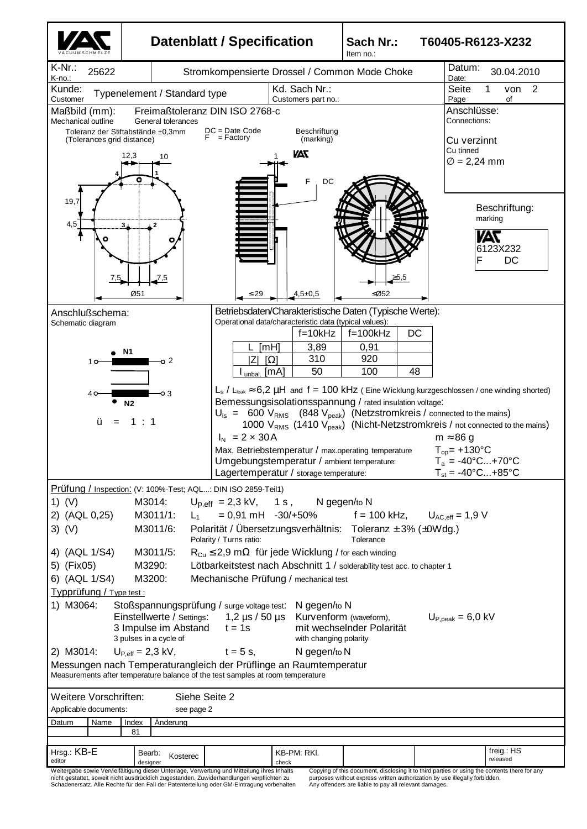

nicht gestattet, soweit nicht ausdrücklich zugestanden. Zuwiderhandlungen verpflichten zu Schadenersatz. Alle Rechte für den Fall der Patenterteilung oder GM-Eintragung vorbehalten

purposes without express written authorization by use illegally forbidden. Any offenders are liable to pay all relevant damages.